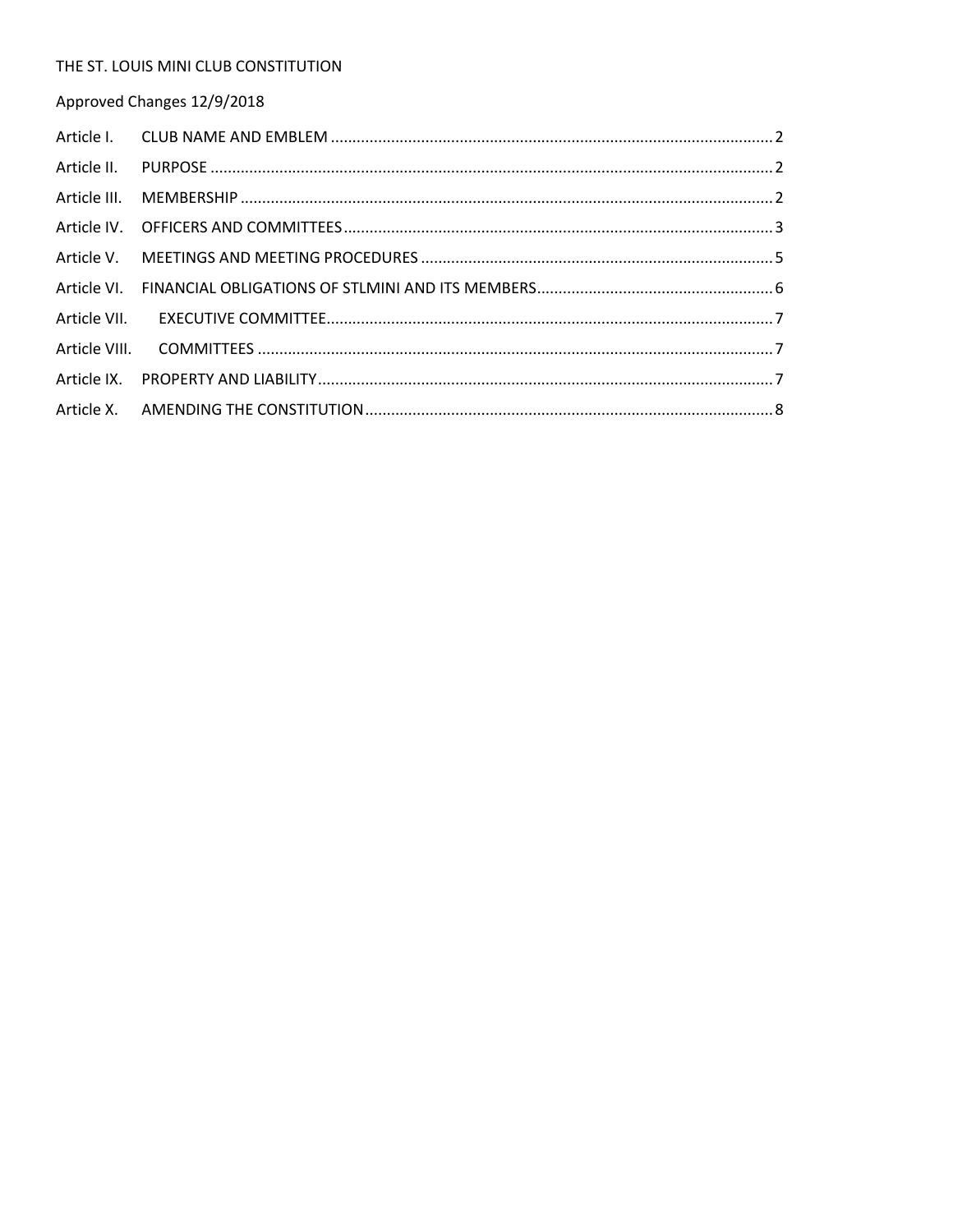#### THE ST. LOUIS MINI CLUB CONSTITUTION

Approved Changes 12/9/2018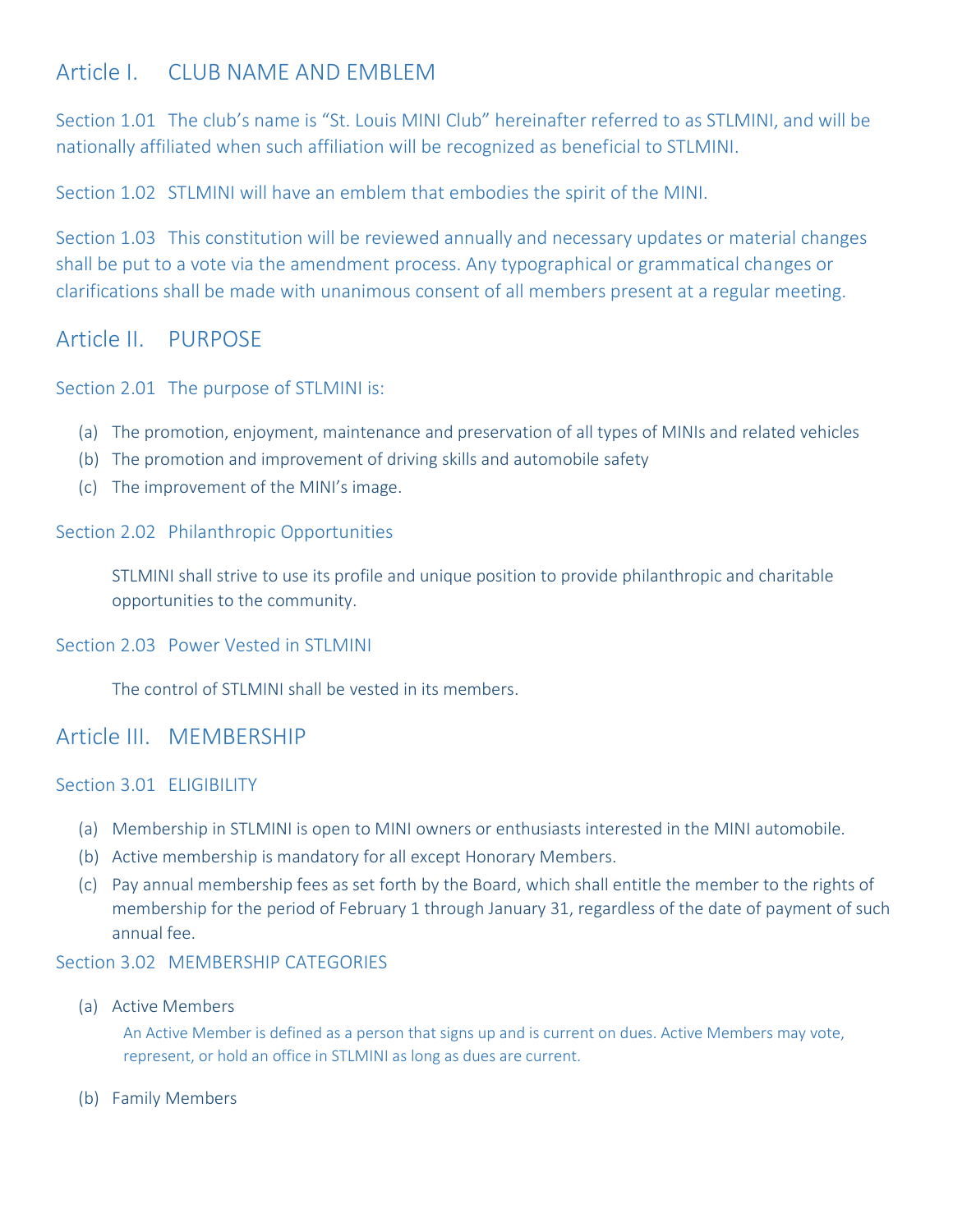# <span id="page-1-0"></span>Article I. CLUB NAME AND FMBLEM

Section 1.01 The club's name is "St. Louis MINI Club" hereinafter referred to as STLMINI, and will be nationally affiliated when such affiliation will be recognized as beneficial to STLMINI.

Section 1.02 STLMINI will have an emblem that embodies the spirit of the MINI.

Section 1.03 This constitution will be reviewed annually and necessary updates or material changes shall be put to a vote via the amendment process. Any typographical or grammatical changes or clarifications shall be made with unanimous consent of all members present at a regular meeting.

## <span id="page-1-1"></span>Article II. PURPOSE

Section 2.01 The purpose of STLMINI is:

- (a) The promotion, enjoyment, maintenance and preservation of all types of MINIs and related vehicles
- (b) The promotion and improvement of driving skills and automobile safety
- (c) The improvement of the MINI's image.

Section 2.02 Philanthropic Opportunities

STLMINI shall strive to use its profile and unique position to provide philanthropic and charitable opportunities to the community.

Section 2.03 Power Vested in STI MINI

The control of STLMINI shall be vested in its members.

## <span id="page-1-2"></span>Article III. MEMBERSHIP

### Section 3.01 **ELIGIBILITY**

- (a) Membership in STLMINI is open to MINI owners or enthusiasts interested in the MINI automobile.
- (b) Active membership is mandatory for all except Honorary Members.
- (c) Pay annual membership fees as set forth by the Board, which shall entitle the member to the rights of membership for the period of February 1 through January 31, regardless of the date of payment of such annual fee.

### Section 3.02 MEMBERSHIP CATEGORIES

(a) Active Members

An Active Member is defined as a person that signs up and is current on dues. Active Members may vote, represent, or hold an office in STLMINI as long as dues are current.

(b) Family Members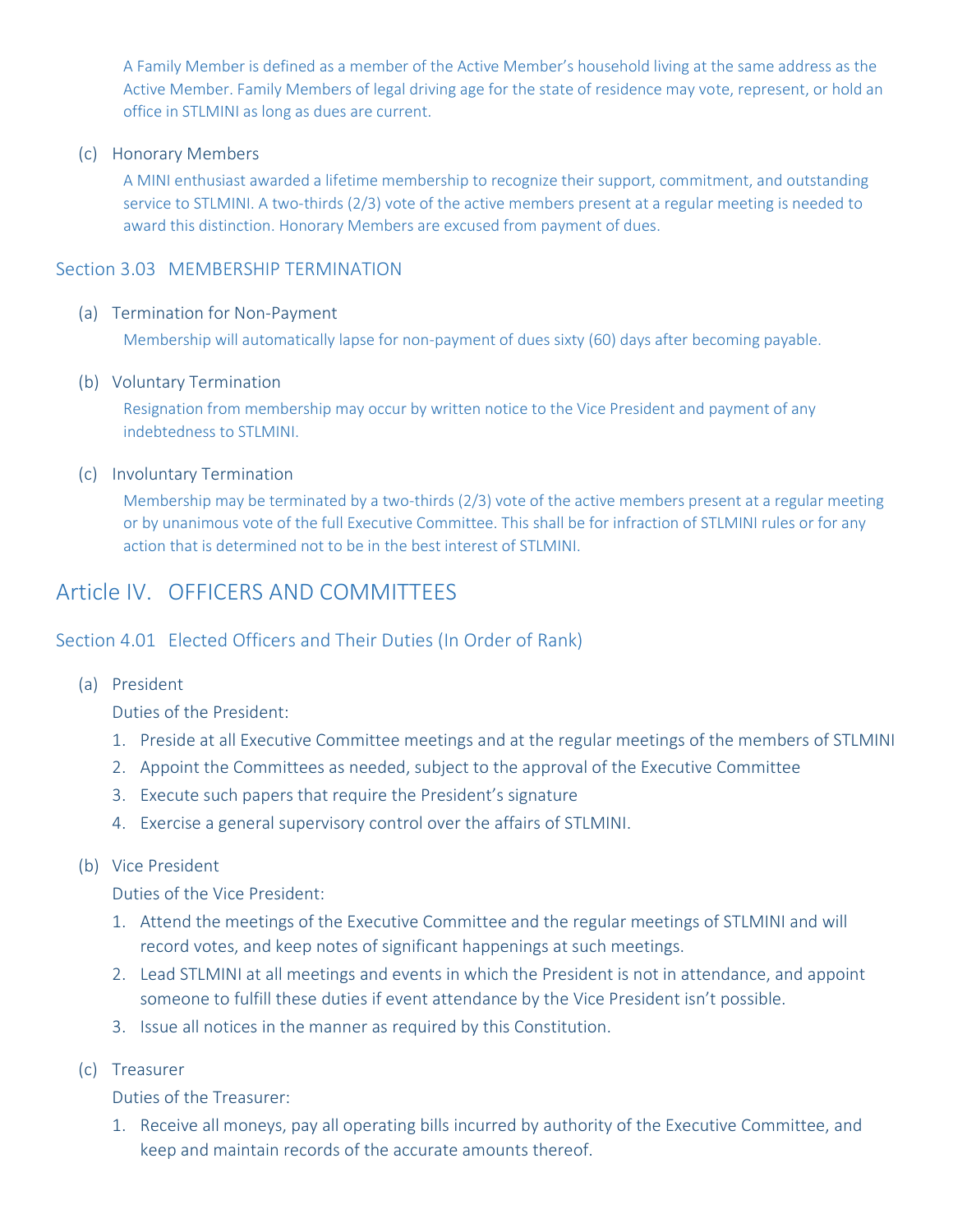A Family Member is defined as a member of the Active Member's household living at the same address as the Active Member. Family Members of legal driving age for the state of residence may vote, represent, or hold an office in STLMINI as long as dues are current.

(c) Honorary Members

A MINI enthusiast awarded a lifetime membership to recognize their support, commitment, and outstanding service to STLMINI. A two-thirds (2/3) vote of the active members present at a regular meeting is needed to award this distinction. Honorary Members are excused from payment of dues.

### Section 3.03 MEMBERSHIP TERMINATION

#### (a) Termination for Non-Payment

Membership will automatically lapse for non-payment of dues sixty (60) days after becoming payable.

#### (b) Voluntary Termination

Resignation from membership may occur by written notice to the Vice President and payment of any indebtedness to STLMINI.

#### (c) Involuntary Termination

Membership may be terminated by a two-thirds (2/3) vote of the active members present at a regular meeting or by unanimous vote of the full Executive Committee. This shall be for infraction of STLMINI rules or for any action that is determined not to be in the best interest of STLMINI.

## <span id="page-2-0"></span>Article IV. OFFICERS AND COMMITTEES

### Section 4.01 Elected Officers and Their Duties (In Order of Rank)

(a) President

Duties of the President:

- 1. Preside at all Executive Committee meetings and at the regular meetings of the members of STLMINI
- 2. Appoint the Committees as needed, subject to the approval of the Executive Committee
- 3. Execute such papers that require the President's signature
- 4. Exercise a general supervisory control over the affairs of STLMINI.

#### (b) Vice President

Duties of the Vice President:

- 1. Attend the meetings of the Executive Committee and the regular meetings of STLMINI and will record votes, and keep notes of significant happenings at such meetings.
- 2. Lead STLMINI at all meetings and events in which the President is not in attendance, and appoint someone to fulfill these duties if event attendance by the Vice President isn't possible.
- 3. Issue all notices in the manner as required by this Constitution.
- (c) Treasurer

Duties of the Treasurer:

1. Receive all moneys, pay all operating bills incurred by authority of the Executive Committee, and keep and maintain records of the accurate amounts thereof.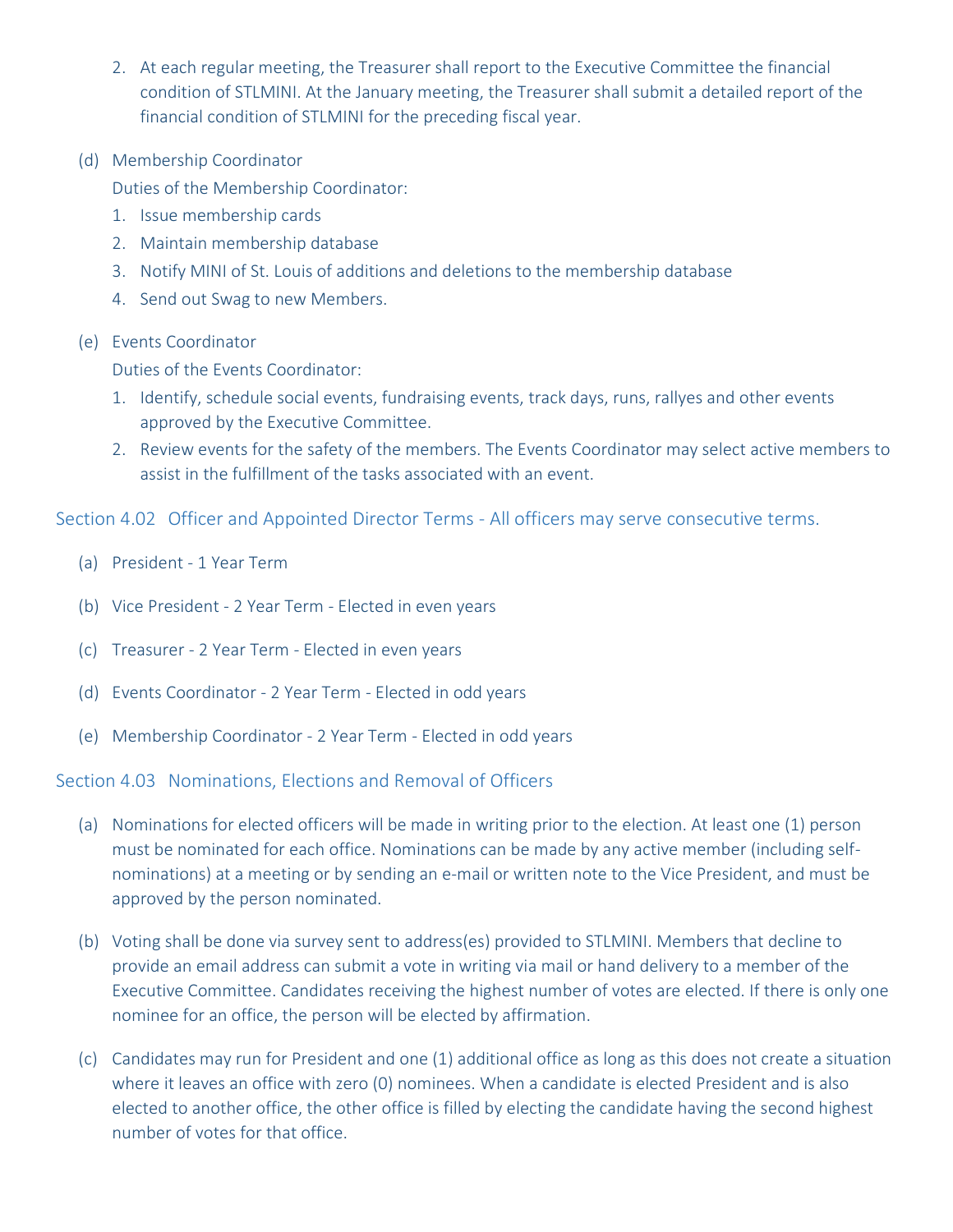- 2. At each regular meeting, the Treasurer shall report to the Executive Committee the financial condition of STLMINI. At the January meeting, the Treasurer shall submit a detailed report of the financial condition of STLMINI for the preceding fiscal year.
- (d) Membership Coordinator

Duties of the Membership Coordinator:

- 1. Issue membership cards
- 2. Maintain membership database
- 3. Notify MINI of St. Louis of additions and deletions to the membership database
- 4. Send out Swag to new Members.
- (e) Events Coordinator

Duties of the Events Coordinator:

- 1. Identify, schedule social events, fundraising events, track days, runs, rallyes and other events approved by the Executive Committee.
- 2. Review events for the safety of the members. The Events Coordinator may select active members to assist in the fulfillment of the tasks associated with an event.

Section 4.02 Officer and Appointed Director Terms - All officers may serve consecutive terms.

- (a) President 1 Year Term
- (b) Vice President 2 Year Term Elected in even years
- (c) Treasurer 2 Year Term Elected in even years
- (d) Events Coordinator 2 Year Term Elected in odd years
- (e) Membership Coordinator 2 Year Term Elected in odd years

Section 4.03 Nominations, Elections and Removal of Officers

- (a) Nominations for elected officers will be made in writing prior to the election. At least one (1) person must be nominated for each office. Nominations can be made by any active member (including selfnominations) at a meeting or by sending an e-mail or written note to the Vice President, and must be approved by the person nominated.
- (b) Voting shall be done via survey sent to address(es) provided to STLMINI. Members that decline to provide an email address can submit a vote in writing via mail or hand delivery to a member of the Executive Committee. Candidates receiving the highest number of votes are elected. If there is only one nominee for an office, the person will be elected by affirmation.
- (c) Candidates may run for President and one (1) additional office as long as this does not create a situation where it leaves an office with zero (0) nominees. When a candidate is elected President and is also elected to another office, the other office is filled by electing the candidate having the second highest number of votes for that office.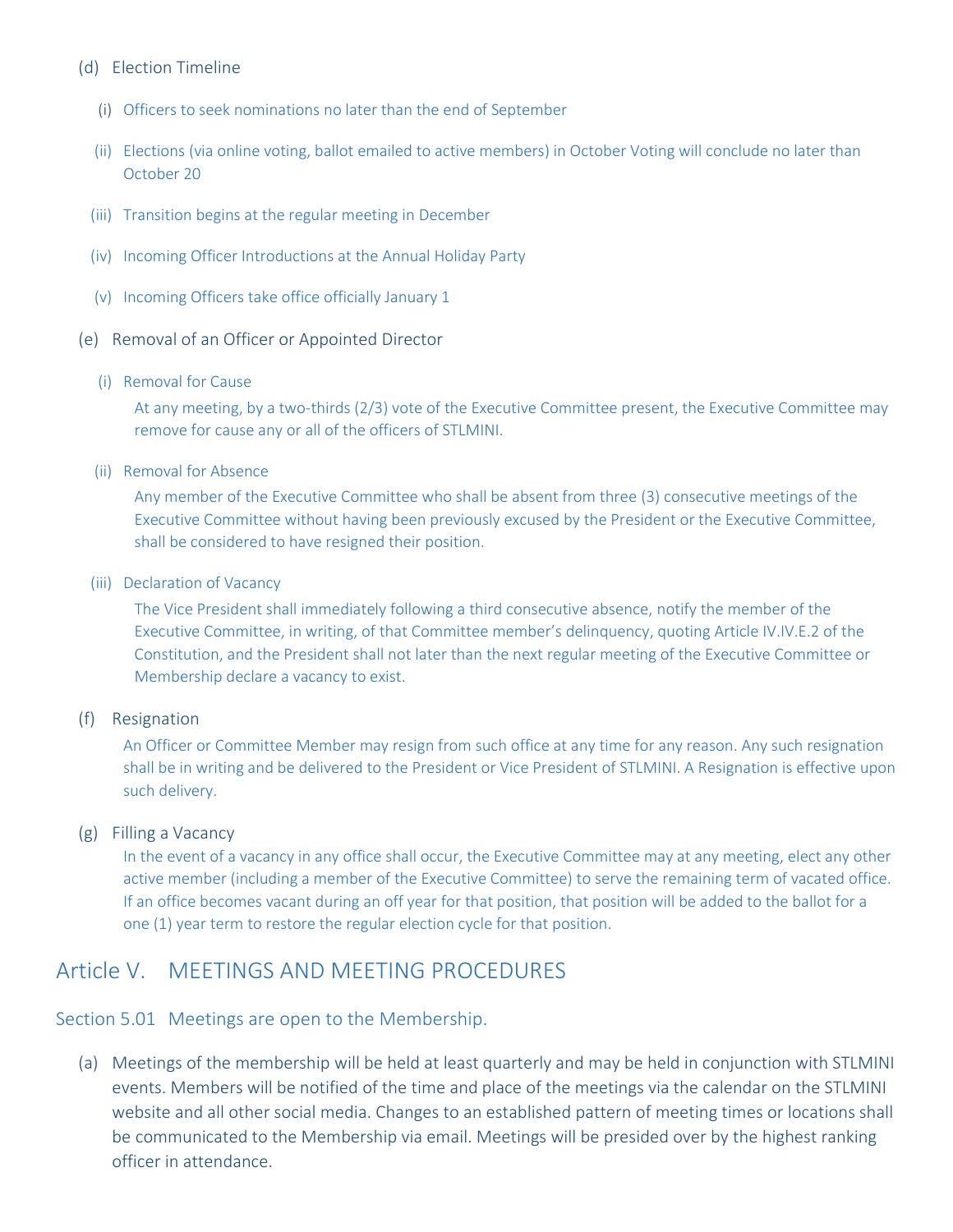#### (d) Election Timeline

- (i) Officers to seek nominations no later than the end of September
- (ii) Elections (via online voting, ballot emailed to active members) in October Voting will conclude no later than October 20
- (iii) Transition begins at the regular meeting in December
- (iv) Incoming Officer Introductions at the Annual Holiday Party
- (v) Incoming Officers take office officially January 1
- (e) Removal of an Officer or Appointed Director
	- (i) Removal for Cause

At any meeting, by a two-thirds (2/3) vote of the Executive Committee present, the Executive Committee may remove for cause any or all of the officers of STLMINI.

(ii) Removal for Absence

Any member of the Executive Committee who shall be absent from three (3) consecutive meetings of the Executive Committee without having been previously excused by the President or the Executive Committee, shall be considered to have resigned their position.

(iii) Declaration of Vacancy

The Vice President shall immediately following a third consecutive absence, notify the member of the Executive Committee, in writing, of that Committee member's delinquency, quoting Article IV.IV.E.2 of the Constitution, and the President shall not later than the next regular meeting of the Executive Committee or Membership declare a vacancy to exist.

(f) Resignation

An Officer or Committee Member may resign from such office at any time for any reason. Any such resignation shall be in writing and be delivered to the President or Vice President of STLMINI. A Resignation is effective upon such delivery.

#### (g) Filling a Vacancy

In the event of a vacancy in any office shall occur, the Executive Committee may at any meeting, elect any other active member (including a member of the Executive Committee) to serve the remaining term of vacated office. If an office becomes vacant during an off year for that position, that position will be added to the ballot for a one (1) year term to restore the regular election cycle for that position.

## <span id="page-4-0"></span>Article V. MEETINGS AND MEETING PROCEDURES

Section 5.01 Meetings are open to the Membership.

(a) Meetings of the membership will be held at least quarterly and may be held in conjunction with STLMINI events. Members will be notified of the time and place of the meetings via the calendar on the STLMINI website and all other social media. Changes to an established pattern of meeting times or locations shall be communicated to the Membership via email. Meetings will be presided over by the highest ranking officer in attendance.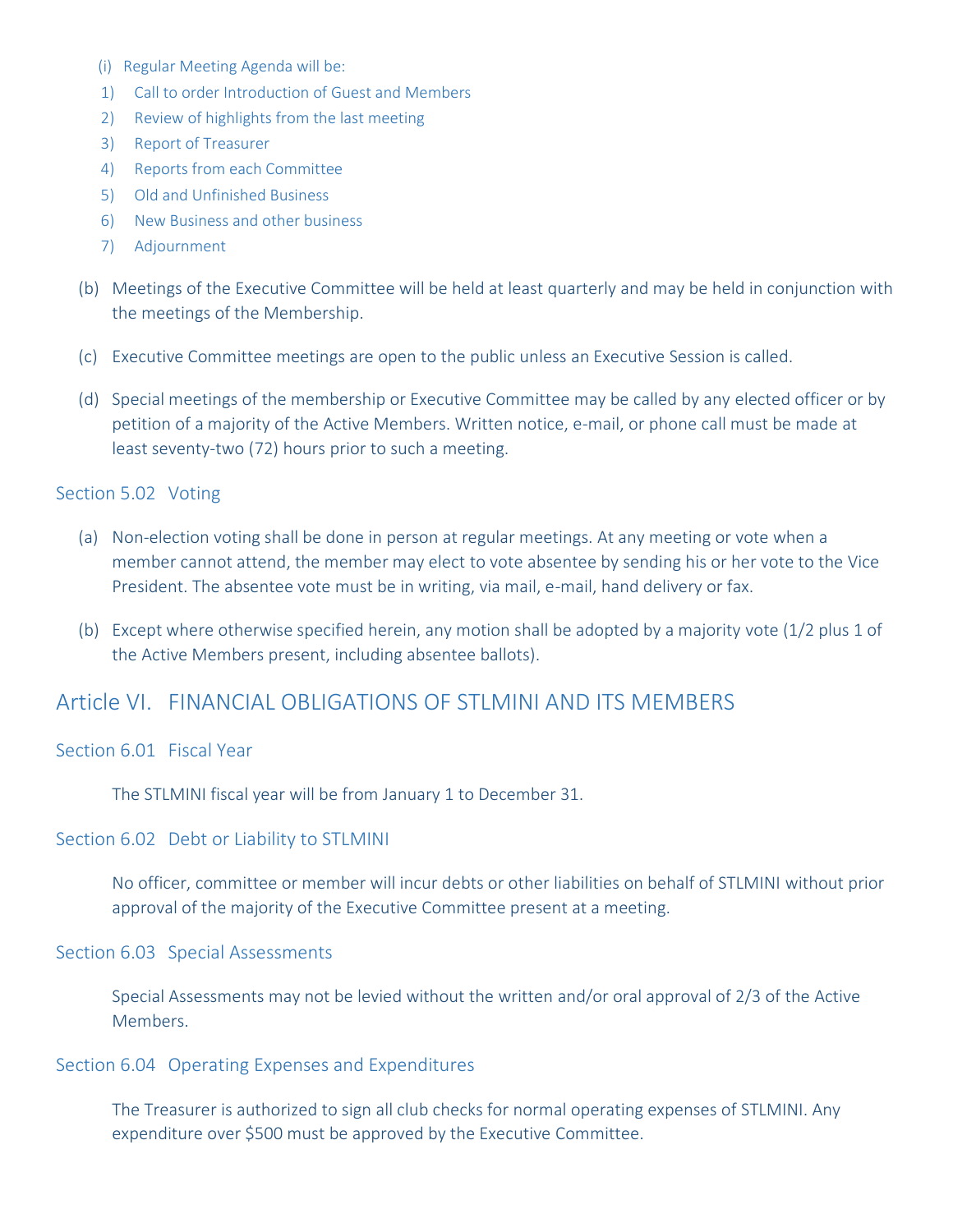- (i) Regular Meeting Agenda will be:
- 1) Call to order Introduction of Guest and Members
- 2) Review of highlights from the last meeting
- 3) Report of Treasurer
- 4) Reports from each Committee
- 5) Old and Unfinished Business
- 6) New Business and other business
- 7) Adjournment
- (b) Meetings of the Executive Committee will be held at least quarterly and may be held in conjunction with the meetings of the Membership.
- (c) Executive Committee meetings are open to the public unless an Executive Session is called.
- (d) Special meetings of the membership or Executive Committee may be called by any elected officer or by petition of a majority of the Active Members. Written notice, e-mail, or phone call must be made at least seventy-two (72) hours prior to such a meeting.

#### Section 5.02 Voting

- (a) Non-election voting shall be done in person at regular meetings. At any meeting or vote when a member cannot attend, the member may elect to vote absentee by sending his or her vote to the Vice President. The absentee vote must be in writing, via mail, e-mail, hand delivery or fax.
- (b) Except where otherwise specified herein, any motion shall be adopted by a majority vote (1/2 plus 1 of the Active Members present, including absentee ballots).

### <span id="page-5-0"></span>Article VI. FINANCIAL OBLIGATIONS OF STLMINI AND ITS MEMBERS

Section 6.01 Fiscal Year

The STLMINI fiscal year will be from January 1 to December 31.

Section 6.02 Debt or Liability to STLMINI

No officer, committee or member will incur debts or other liabilities on behalf of STLMINI without prior approval of the majority of the Executive Committee present at a meeting.

#### Section 6.03 Special Assessments

Special Assessments may not be levied without the written and/or oral approval of 2/3 of the Active Members.

#### Section 6.04 Operating Expenses and Expenditures

The Treasurer is authorized to sign all club checks for normal operating expenses of STLMINI. Any expenditure over \$500 must be approved by the Executive Committee.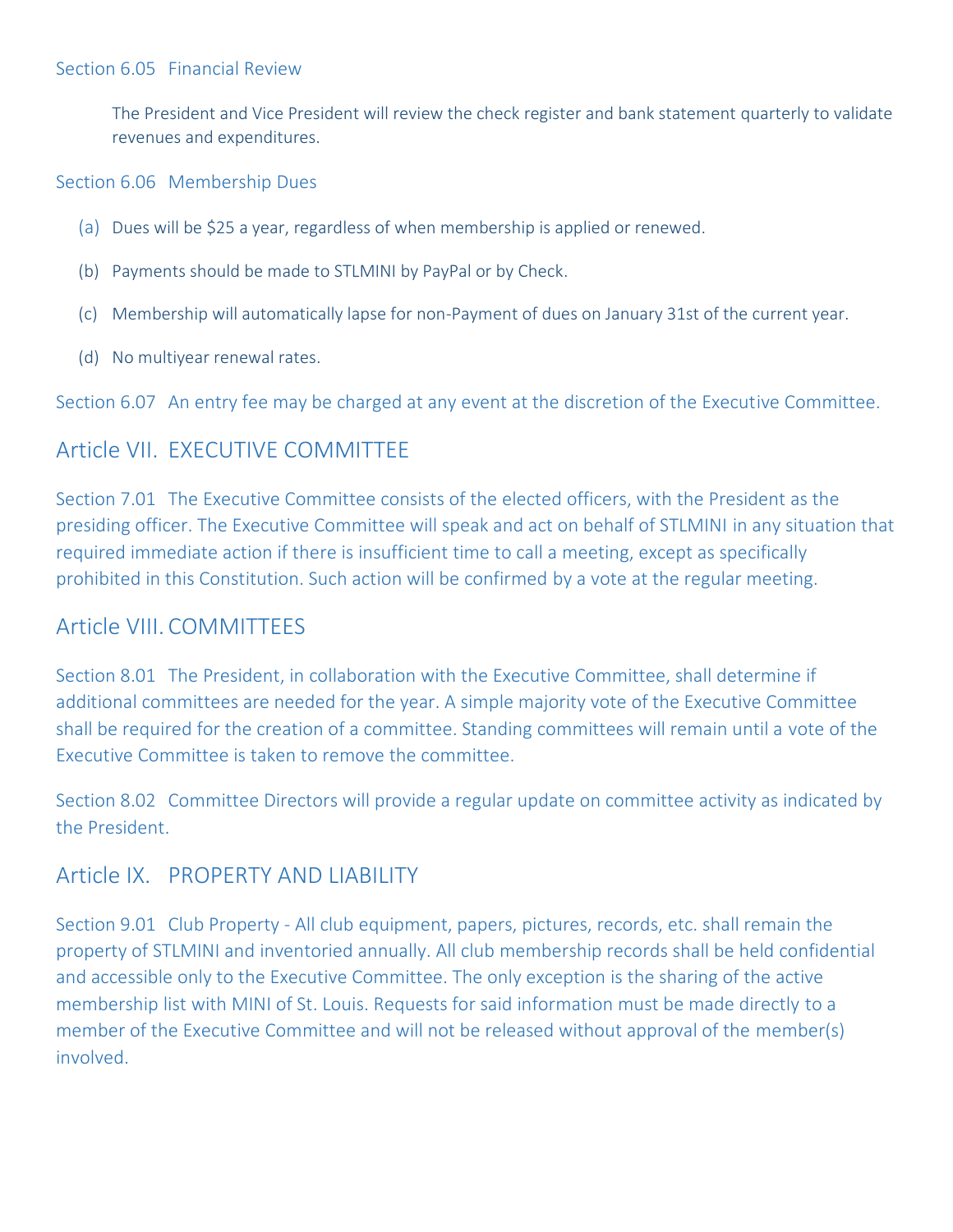The President and Vice President will review the check register and bank statement quarterly to validate revenues and expenditures.

Section 6.06 Membership Dues

- (a) Dues will be \$25 a year, regardless of when membership is applied or renewed.
- (b) Payments should be made to STLMINI by PayPal or by Check.
- (c) Membership will automatically lapse for non-Payment of dues on January 31st of the current year.
- (d) No multiyear renewal rates.

Section 6.07 An entry fee may be charged at any event at the discretion of the Executive Committee.

# <span id="page-6-0"></span>Article VII. EXECUTIVE COMMITTEE

Section 7.01 The Executive Committee consists of the elected officers, with the President as the presiding officer. The Executive Committee will speak and act on behalf of STLMINI in any situation that required immediate action if there is insufficient time to call a meeting, except as specifically prohibited in this Constitution. Such action will be confirmed by a vote at the regular meeting.

## <span id="page-6-1"></span>Article VIII. COMMITTEES

Section 8.01 The President, in collaboration with the Executive Committee, shall determine if additional committees are needed for the year. A simple majority vote of the Executive Committee shall be required for the creation of a committee. Standing committees will remain until a vote of the Executive Committee is taken to remove the committee.

Section 8.02 Committee Directors will provide a regular update on committee activity as indicated by the President.

## <span id="page-6-2"></span>Article IX. PROPERTY AND LIABILITY

Section 9.01 Club Property - All club equipment, papers, pictures, records, etc. shall remain the property of STLMINI and inventoried annually. All club membership records shall be held confidential and accessible only to the Executive Committee. The only exception is the sharing of the active membership list with MINI of St. Louis. Requests for said information must be made directly to a member of the Executive Committee and will not be released without approval of the member(s) involved.